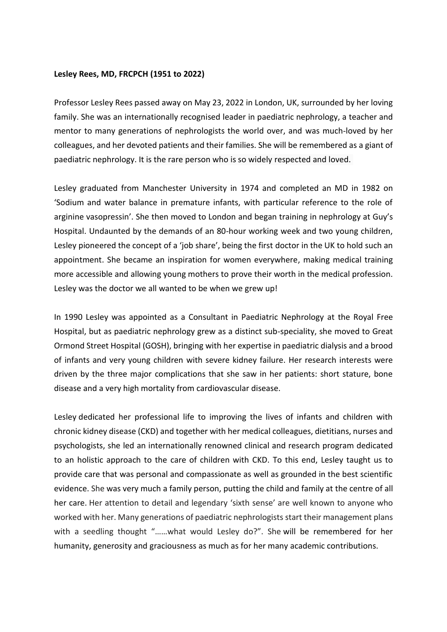## **Lesley Rees, MD, FRCPCH (1951 to 2022)**

Professor Lesley Rees passed away on May 23, 2022 in London, UK, surrounded by her loving family. She was an internationally recognised leader in paediatric nephrology, a teacher and mentor to many generations of nephrologists the world over, and was much-loved by her colleagues, and her devoted patients and their families. She will be remembered as a giant of paediatric nephrology. It is the rare person who is so widely respected and loved.

Lesley graduated from Manchester University in 1974 and completed an MD in 1982 on 'Sodium and water balance in premature infants, with particular reference to the role of arginine vasopressin'. She then moved to London and began training in nephrology at Guy's Hospital. Undaunted by the demands of an 80-hour working week and two young children, Lesley pioneered the concept of a 'job share', being the first doctor in the UK to hold such an appointment. She became an inspiration for women everywhere, making medical training more accessible and allowing young mothers to prove their worth in the medical profession. Lesley was the doctor we all wanted to be when we grew up!

In 1990 Lesley was appointed as a Consultant in Paediatric Nephrology at the Royal Free Hospital, but as paediatric nephrology grew as a distinct sub-speciality, she moved to Great Ormond Street Hospital (GOSH), bringing with her expertise in paediatric dialysis and a brood of infants and very young children with severe kidney failure. Her research interests were driven by the three major complications that she saw in her patients: short stature, bone disease and a very high mortality from cardiovascular disease.

Lesley dedicated her professional life to improving the lives of infants and children with chronic kidney disease (CKD) and together with her medical colleagues, dietitians, nurses and psychologists, she led an internationally renowned clinical and research program dedicated to an holistic approach to the care of children with CKD. To this end, Lesley taught us to provide care that was personal and compassionate as well as grounded in the best scientific evidence. She was very much a family person, putting the child and family at the centre of all her care. Her attention to detail and legendary 'sixth sense' are well known to anyone who worked with her. Many generations of paediatric nephrologists start their management plans with a seedling thought "......what would Lesley do?". She will be remembered for her humanity, generosity and graciousness as much as for her many academic contributions.